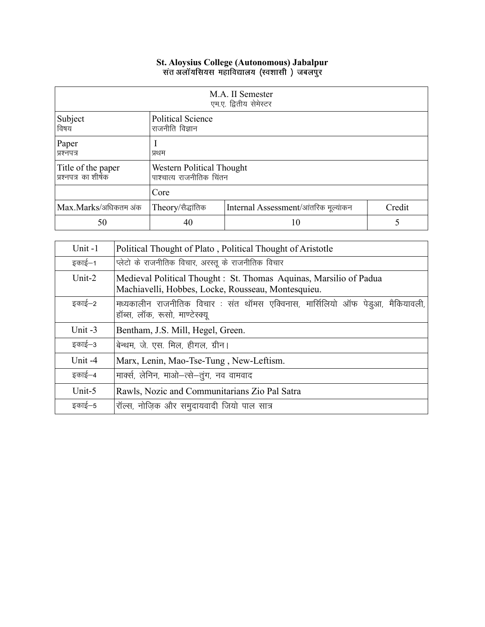## St. Aloysius College (Autonomous) Jabalpur<br>संत अलॉयसियस महाविद्यालय (स्वशासी ) जबलपुर

| M.A. II Semester<br>एम.ए. द्वितीय सेमेस्टर |                                                       |                                      |        |
|--------------------------------------------|-------------------------------------------------------|--------------------------------------|--------|
| Subject<br>विषय                            | <b>Political Science</b><br>राजनीति विज्ञान           |                                      |        |
| Paper<br>प्रश्नपत्र                        | प्रथम                                                 |                                      |        |
| Title of the paper<br>प्रश्नपत्र का शीर्षक | Western Political Thought<br>पाश्चात्य राजनीतिक चिंतन |                                      |        |
|                                            | Core                                                  |                                      |        |
| Max.Marks/अधिकतम अंक                       | Theory/सैद्धांतिक                                     | Internal Assessment/आंतरिक मूल्यांकन | Credit |
| 50                                         | 40                                                    | 10                                   |        |

| Unit-1    | Political Thought of Plato, Political Thought of Aristotle                                                               |
|-----------|--------------------------------------------------------------------------------------------------------------------------|
| इकाई—1    | प्लेटो के राजनीतिक विचार, अरस्तू के राजनीतिक विचार                                                                       |
| Unit-2    | Medieval Political Thought : St. Thomas Aquinas, Marsilio of Padua<br>Machiavelli, Hobbes, Locke, Rousseau, Montesquieu. |
| इकाई–2    | मध्यकालीन राजनीतिक विचार : संत थॉमस एक्विनास, मार्सिलियो ऑफ पेड्आ, मैकियावली,<br>हॉब्स, लॉक, रूसो, माण्टेस्क्यू          |
| Unit $-3$ | Bentham, J.S. Mill, Hegel, Green.                                                                                        |
| इकाई–3    | बेन्थम, जे. एस. मिल, हीगल, ग्रीन।                                                                                        |
| Unit -4   | Marx, Lenin, Mao-Tse-Tung, New-Leftism.                                                                                  |
| इकाई–4    | मार्क्स, लेनिन, माओ-त्से-तुंग, नव वामवाद                                                                                 |
| Unit-5    | Rawls, Nozic and Communitarians Zio Pal Satra                                                                            |
| इकाई–5    | रॉल्स, नोज़िक और समुदायवादी जियो पाल सात्र                                                                               |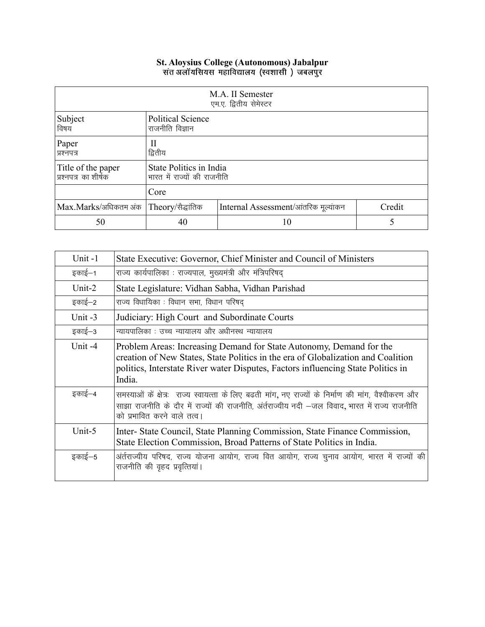## **St. Aloysius College (Autonomous) Jabalpur**

| M.A. II Semester<br>एम.ए. द्वितीय सेमेस्टर |                                                        |                                      |        |
|--------------------------------------------|--------------------------------------------------------|--------------------------------------|--------|
| Subject<br>विषय                            | <b>Political Science</b><br>राजनीति विज्ञान            |                                      |        |
| Paper<br>प्रश्नपत्र                        | Н<br>द्वितीय                                           |                                      |        |
| Title of the paper<br>प्रश्नपत्र का शीर्षक | State Politics in India<br>भारत में राज्यों की राजनीति |                                      |        |
|                                            | Core                                                   |                                      |        |
| Max.Marks/अधिकतम अंक Theory/सैद्धांतिक     |                                                        | Internal Assessment/आंतरिक मूल्यांकन | Credit |
| 50                                         | 40                                                     | 10                                   | 5      |

| Unit-1    | State Executive: Governor, Chief Minister and Council of Ministers                                                                                                                                                                                    |
|-----------|-------------------------------------------------------------------------------------------------------------------------------------------------------------------------------------------------------------------------------------------------------|
| इकाई–1    | राज्य कार्यपालिका : राज्यपाल, मुख्यमंत्री और मंत्रिपरिषद्                                                                                                                                                                                             |
| Unit- $2$ | State Legislature: Vidhan Sabha, Vidhan Parishad                                                                                                                                                                                                      |
| इकाई—2    | राज्य विधायिका : विधान सभा, विधान परिषद्                                                                                                                                                                                                              |
| Unit $-3$ | Judiciary: High Court and Subordinate Courts                                                                                                                                                                                                          |
| इकाई–3    | न्यायपालिका : उच्च न्यायालय और अधीनस्थ न्यायालय                                                                                                                                                                                                       |
| Unit -4   | Problem Areas: Increasing Demand for State Autonomy, Demand for the<br>creation of New States, State Politics in the era of Globalization and Coalition<br>politics, Interstate River water Disputes, Factors influencing State Politics in<br>India. |
| इकाई–4    | समस्याओं के क्षेत्र:  राज्य स्वायत्ता के लिए बढती मांग, नए राज्यों के निर्माण की मांग, वैश्वीकरण और<br>साझा राजनीति के दौर में राज्यों की राजनीति, अंर्तराज्यीय नदी —जल विवाद, भारत में राज्य राजनीति<br>को प्रभावित करने वाले तत्व।                  |
| Unit-5    | Inter-State Council, State Planning Commission, State Finance Commission,<br>State Election Commission, Broad Patterns of State Politics in India.                                                                                                    |
| इकाई–5    | अर्तराज्यीय परिषद, राज्य योजना आयोग, राज्य वित आयोग, राज्य चुनाव आयोग, भारत में राज्यों की<br>राजनीति की वृहद प्रवृत्तियां।                                                                                                                           |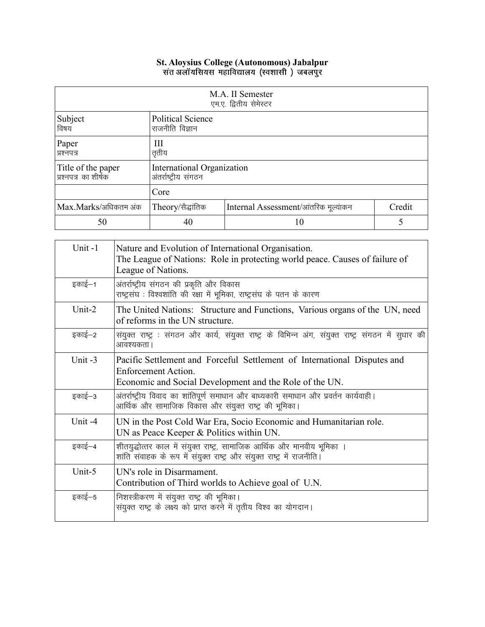## **St. Aloysius College (Autonomous) Jabalpur**

| M.A. II Semester<br>एम.ए. द्वितीय सेमेस्टर  |                                                    |                                      |        |
|---------------------------------------------|----------------------------------------------------|--------------------------------------|--------|
| Subject<br>विषय                             | <b>Political Science</b><br>राजनीति विज्ञान        |                                      |        |
| Paper<br>प्रश्नपत्र                         | Ш<br>तृतीय                                         |                                      |        |
| Title of the paper<br> प्रश्नपत्र का शीर्षक | International Organization<br>अंतर्राष्ट्रीय संगठन |                                      |        |
|                                             | Core                                               |                                      |        |
| Max.Marks/अधिकतम अंक                        | Theory/सैद्धांतिक                                  | Internal Assessment/आंतरिक मूल्यांकन | Credit |
| 50                                          | 40                                                 | 10                                   | 5      |

| Unit-1    | Nature and Evolution of International Organisation.<br>The League of Nations: Role in protecting world peace. Causes of failure of<br>League of Nations.   |
|-----------|------------------------------------------------------------------------------------------------------------------------------------------------------------|
| इकाई–1    | अंतर्राष्ट्रीय संगठन की प्रकृति और विकास<br>राष्ट्रसंघ : विश्वशांति की रक्षा में भूमिका, राष्ट्रसंघ के पतन के कारण                                         |
| Unit- $2$ | The United Nations: Structure and Functions, Various organs of the UN, need<br>of reforms in the UN structure.                                             |
| इकाई—2    | संयुक्त राष्ट्र : संगठन और कार्य, संयुक्त राष्ट्र के विभिन्न अंग, संयुक्त राष्ट्र संगठन में सुधार की<br>आवश्यकता ।                                         |
| Unit -3   | Pacific Settlement and Forceful Settlement of International Disputes and<br>Enforcement Action.<br>Economic and Social Development and the Role of the UN. |
| इकाई–3    | अंतर्राष्ट्रीय विवाद का शांतिपूर्ण समाधान और बाध्यकारी समाधान और प्रवर्तन कार्यवाही।<br>आर्थिक और सामाजिक विकास और संयुक्त राष्ट्र की भूमिका।              |
| Unit -4   | UN in the Post Cold War Era, Socio Economic and Humanitarian role.<br>UN as Peace Keeper & Politics within UN.                                             |
| इकाई–4    | शीतयुद्धोत्तर काल में संयुक्त राष्ट्र, सामाजिक आर्थिक और मानवीय भूमिका ।<br>शांति संवाहक के रूप में संयुक्त राष्ट्र और संयुक्त राष्ट्र में राजनीति।        |
| Unit-5    | UN's role in Disarmament.<br>Contribution of Third worlds to Achieve goal of U.N.                                                                          |
| इकाई–5    | निशस्त्रीकरण में संयुक्त राष्ट्र की भूमिका।<br>संयुक्त राष्ट्र के लक्ष्य को प्राप्त करने में तृतीय विश्व का योगदान।                                        |